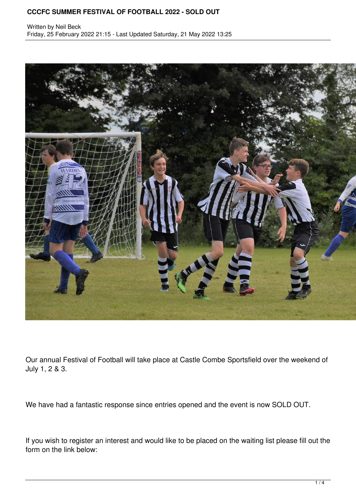## **CCCFC SUMMER FESTIVAL OF FOOTBALL 2022 - SOLD OUT**

Written by Neil Beck Friday, 25 February 2022 21:15 - Last Updated Saturday, 21 May 2022 13:25



Our annual Festival of Football will take place at Castle Combe Sportsfield over the weekend of July 1, 2 & 3.

We have had a fantastic response since entries opened and the event is now SOLD OUT.

If you wish to register an interest and would like to be placed on the waiting list please fill out the form on the link below: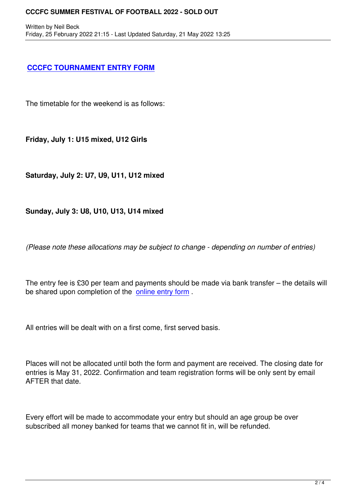## **CCCFC TOURNAMENT ENTRY FORM**

Written by Neil Becker and December 2018, the Neil Becker and December 2018 and December 2019

[The timetable for the weekend is as follow](https://docs.google.com/forms/d/1GjNotMNeac_4AINngaI8EPcKqd-C3JnGgx5YtdCIC04/viewform?edit_requested=true)s:

**Friday, July 1: U15 mixed, U12 Girls**

**Saturday, July 2: U7, U9, U11, U12 mixed** 

## **Sunday, July 3: U8, U10, U13, U14 mixed**

*(Please note these allocations may be subject to change - depending on number of entries)*

The entry fee is £30 per team and payments should be made via bank transfer – the details will be shared upon completion of the online entry form .

All entries will be dealt with on a fir[st come, first serv](https://docs.google.com/forms/d/1GjNotMNeac_4AINngaI8EPcKqd-C3JnGgx5YtdCIC04/viewform?edit_requested=true)ed basis.

Places will not be allocated until both the form and payment are received. The closing date for entries is May 31, 2022. Confirmation and team registration forms will be only sent by email AFTER that date.

Every effort will be made to accommodate your entry but should an age group be over subscribed all money banked for teams that we cannot fit in, will be refunded.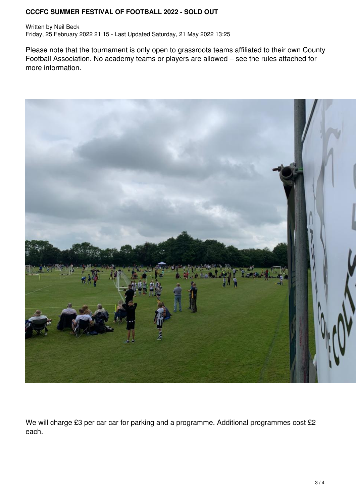## **CCCFC SUMMER FESTIVAL OF FOOTBALL 2022 - SOLD OUT**

Written by Neil Beck Friday, 25 February 2022 21:15 - Last Updated Saturday, 21 May 2022 13:25

Please note that the tournament is only open to grassroots teams affiliated to their own County Football Association. No academy teams or players are allowed – see the rules attached for more information.



We will charge £3 per car car for parking and a programme. Additional programmes cost £2 each.